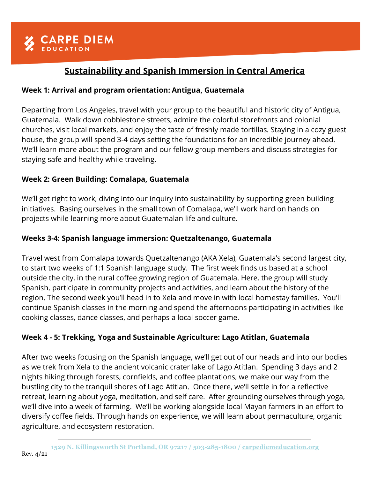# **Sustainability and Spanish Immersion in Central America**

## **Week 1: Arrival and program orientation: Antigua, Guatemala**

Departing from Los Angeles, travel with your group to the beautiful and historic city of Antigua, Guatemala. Walk down cobblestone streets, admire the colorful storefronts and colonial churches, visit local markets, and enjoy the taste of freshly made tortillas. Staying in a cozy guest house, the group will spend 3-4 days setting the foundations for an incredible journey ahead. We'll learn more about the program and our fellow group members and discuss strategies for staying safe and healthy while traveling.

# **Week 2: Green Building: Comalapa, Guatemala**

We'll get right to work, diving into our inquiry into sustainability by supporting green building initiatives. Basing ourselves in the small town of Comalapa, we'll work hard on hands on projects while learning more about Guatemalan life and culture.

# **Weeks 3-4: Spanish language immersion: Quetzaltenango, Guatemala**

Travel west from Comalapa towards Quetzaltenango (AKA Xela), Guatemala's second largest city, to start two weeks of 1:1 Spanish language study. The first week finds us based at a school outside the city, in the rural coffee growing region of Guatemala. Here, the group will study Spanish, participate in community projects and activities, and learn about the history of the region. The second week you'll head in to Xela and move in with local homestay families. You'll continue Spanish classes in the morning and spend the afternoons participating in activities like cooking classes, dance classes, and perhaps a local soccer game.

# **Week 4 - 5: Trekking, Yoga and Sustainable Agriculture: Lago Atitlan, Guatemala**

After two weeks focusing on the Spanish language, we'll get out of our heads and into our bodies as we trek from Xela to the ancient volcanic crater lake of Lago Atitlan. Spending 3 days and 2 nights hiking through forests, cornfields, and coffee plantations, we make our way from the bustling city to the tranquil shores of Lago Atitlan. Once there, we'll settle in for a reflective retreat, learning about yoga, meditation, and self care. After grounding ourselves through yoga, we'll dive into a week of farming. We'll be working alongside local Mayan farmers in an effort to diversify coffee fields. Through hands on experience, we will learn about permaculture, organic agriculture, and ecosystem restoration.